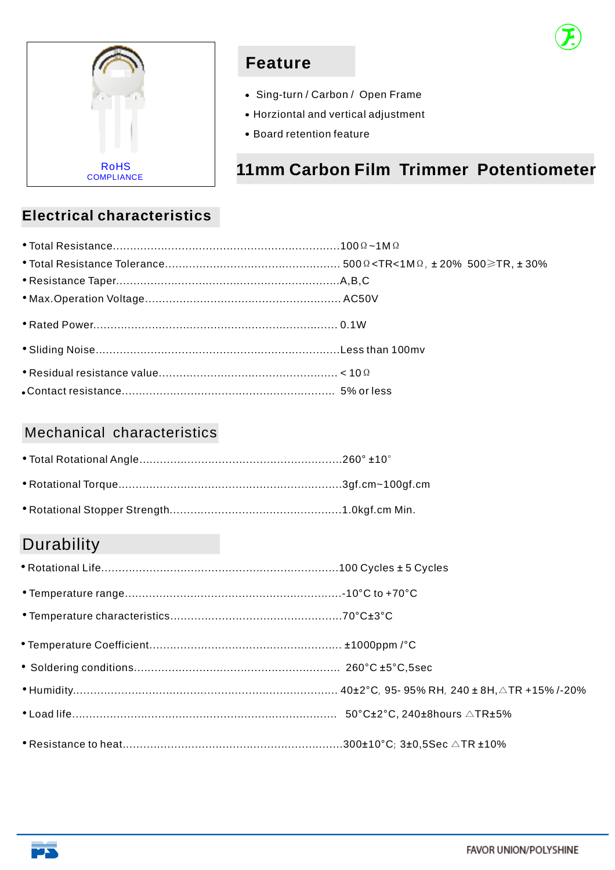

### **Feature**

- Sing-turn / Carbon / Open Frame
- Horziontal and vertical adjustment
- Board retention feature

### **11mm Carbon Film Trimmer Potentiometer**

### **Electrical characteristics**

#### Mechanical characteristics

### **Durability**

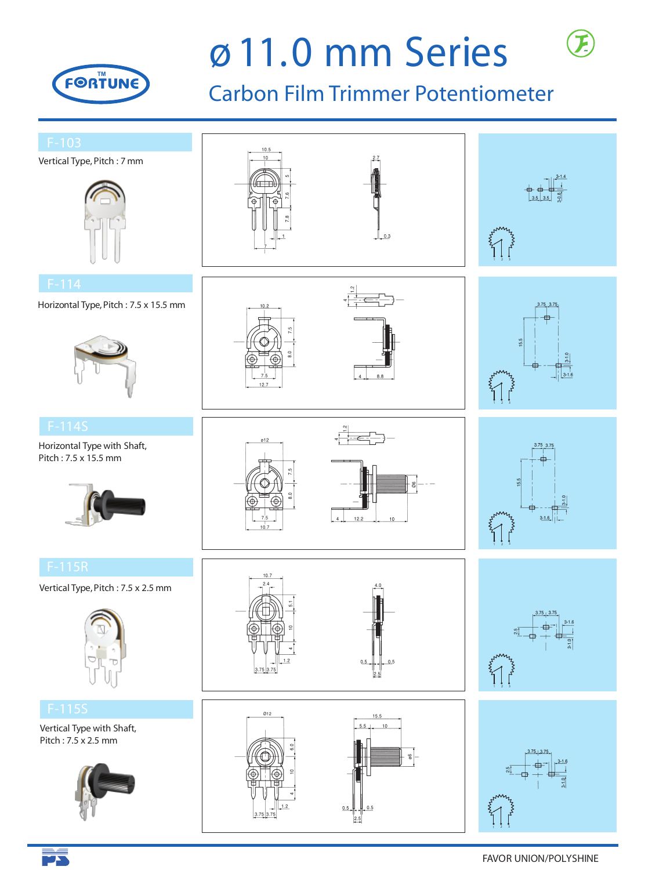

 $\overline{\blacktriangleright}$ 

# *g* **11.0 mm Series**

## Carbon Film Trimmer Potentiometer

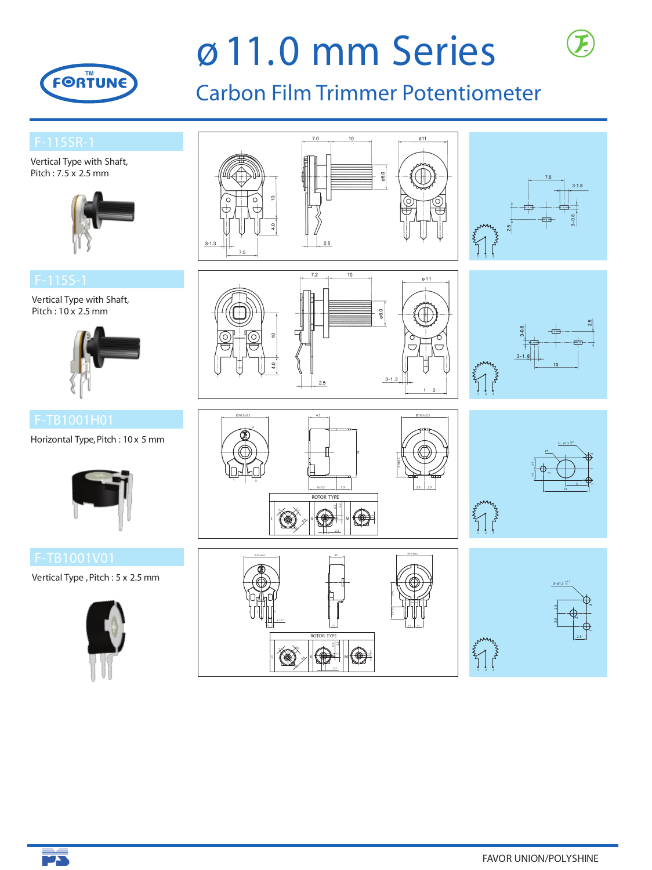

**BA** 

# *g* **11.0 mm Series**

## Carbon Film Trimmer Potentiometer